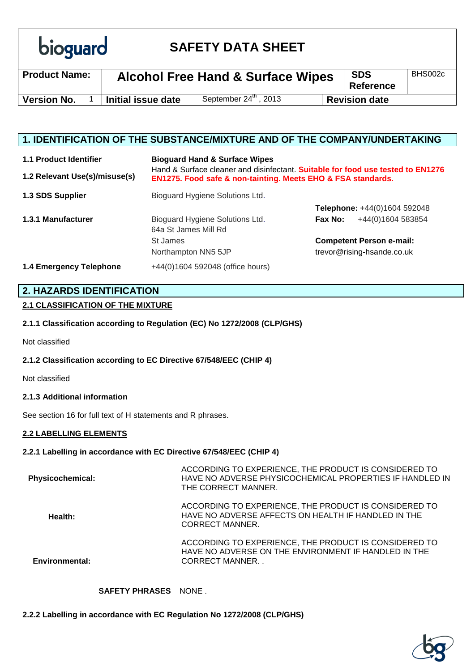| <b>bioguard</b> |
|-----------------|

# **SAFETY DATA SHEET**

| <b>Product Name:</b> | <b>Alcohol Free Hand &amp; Surface Wipes</b> |                                   | <b>SDS</b><br><b>Reference</b> | BHS002c              |  |
|----------------------|----------------------------------------------|-----------------------------------|--------------------------------|----------------------|--|
| <b>Version No.</b>   | Initial issue date                           | September $24^{\text{th}}$ , 2013 |                                | <b>Revision date</b> |  |
|                      |                                              |                                   |                                |                      |  |

## **1. IDENTIFICATION OF THE SUBSTANCE/MIXTURE AND OF THE COMPANY/UNDERTAKING**

| <b>1.1 Product Identifier</b><br>1.2 Relevant Use(s)/misuse(s) | <b>Bioguard Hand &amp; Surface Wipes</b><br>Hand & Surface cleaner and disinfectant. Suitable for food use tested to EN1276<br>EN1275. Food safe & non-tainting. Meets EHO & FSA standards. |                                 |  |
|----------------------------------------------------------------|---------------------------------------------------------------------------------------------------------------------------------------------------------------------------------------------|---------------------------------|--|
| 1.3 SDS Supplier                                               | Bioguard Hygiene Solutions Ltd.                                                                                                                                                             |                                 |  |
|                                                                |                                                                                                                                                                                             | Telephone: +44(0)1604 592048    |  |
| 1.3.1 Manufacturer                                             | Bioguard Hygiene Solutions Ltd.<br>64a St James Mill Rd                                                                                                                                     | +44(0)1604 583854<br>Fax No:    |  |
|                                                                | St James                                                                                                                                                                                    | <b>Competent Person e-mail:</b> |  |
|                                                                | Northampton NN5 5JP                                                                                                                                                                         | trevor@rising-hsande.co.uk      |  |
| 1.4 Emergency Telephone                                        | +44(0)1604 592048 (office hours)                                                                                                                                                            |                                 |  |

## **2. HAZARDS IDENTIFICATION**

### **2.1 CLASSIFICATION OF THE MIXTURE**

**2.1.1 Classification according to Regulation (EC) No 1272/2008 (CLP/GHS)**

Not classified

### **2.1.2 Classification according to EC Directive 67/548/EEC (CHIP 4)**

Not classified

### **2.1.3 Additional information**

See section 16 for full text of H statements and R phrases.

### **2.2 LABELLING ELEMENTS**

### **2.2.1 Labelling in accordance with EC Directive 67/548/EEC (CHIP 4)**

| <b>Physicochemical:</b> | ACCORDING TO EXPERIENCE, THE PRODUCT IS CONSIDERED TO<br>HAVE NO ADVERSE PHYSICOCHEMICAL PROPERTIES IF HANDLED IN<br>THE CORRECT MANNER. |
|-------------------------|------------------------------------------------------------------------------------------------------------------------------------------|
| Health:                 | ACCORDING TO EXPERIENCE, THE PRODUCT IS CONSIDERED TO<br>HAVE NO ADVERSE AFFECTS ON HEALTH IF HANDLED IN THE<br>CORRECT MANNER.          |
| <b>Environmental:</b>   | ACCORDING TO EXPERIENCE, THE PRODUCT IS CONSIDERED TO<br>HAVE NO ADVERSE ON THE ENVIRONMENT IF HANDLED IN THE<br>CORRECT MANNER          |

### **SAFETY PHRASES** NONE .

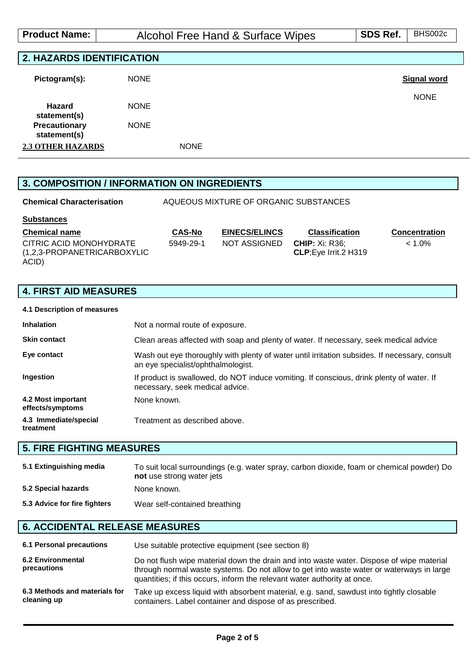| <b>Product Name:</b>             | Alcohol Free Hand & Surface Wipes | SDS Ref. | BHS002c     |
|----------------------------------|-----------------------------------|----------|-------------|
|                                  |                                   |          |             |
| <b>2. HAZARDS IDENTIFICATION</b> |                                   |          |             |
| Pictogram(s):                    | <b>NONE</b>                       |          | Signal word |
| <b>Hazard</b><br>statement(s)    | <b>NONE</b>                       |          | <b>NONE</b> |
| Precautionary<br>statement(s)    | <b>NONE</b>                       |          |             |

**2.3 OTHER HAZARDS** NONE

# **3. COMPOSITION / INFORMATION ON INGREDIENTS**

| <b>Chemical Characterisation</b>                                | AQUEOUS MIXTURE OF ORGANIC SUBSTANCES |                      |                                                 |                      |
|-----------------------------------------------------------------|---------------------------------------|----------------------|-------------------------------------------------|----------------------|
| <b>Substances</b>                                               |                                       |                      |                                                 |                      |
| <b>Chemical name</b>                                            | <b>CAS-No</b>                         | <b>EINECS/ELINCS</b> | <b>Classification</b>                           | <b>Concentration</b> |
| CITRIC ACID MONOHYDRATE<br>(1,2,3-PROPANETRICARBOXYLIC<br>ACID) | 5949-29-1                             | NOT ASSIGNED         | <b>CHIP:</b> Xi: R36:<br>CLP; Eye Irrit. 2 H319 | $< 1.0\%$            |

# **4. FIRST AID MEASURES**

| 4.1 Description of measures            |                                                                                                                                     |
|----------------------------------------|-------------------------------------------------------------------------------------------------------------------------------------|
| <b>Inhalation</b>                      | Not a normal route of exposure.                                                                                                     |
| <b>Skin contact</b>                    | Clean areas affected with soap and plenty of water. If necessary, seek medical advice                                               |
| Eye contact                            | Wash out eye thoroughly with plenty of water until irritation subsides. If necessary, consult<br>an eye specialist/ophthalmologist. |
| Ingestion                              | If product is swallowed, do NOT induce vomiting. If conscious, drink plenty of water. If<br>necessary, seek medical advice.         |
| 4.2 Most important<br>effects/symptoms | None known.                                                                                                                         |
| 4.3 Immediate/special<br>treatment     | Treatment as described above.                                                                                                       |

# **5. FIRE FIGHTING MEASURES**

| 5.1 Extinguishing media      | To suit local surroundings (e.g. water spray, carbon dioxide, foam or chemical powder) Do<br>not use strong water jets |
|------------------------------|------------------------------------------------------------------------------------------------------------------------|
| 5.2 Special hazards          | None known.                                                                                                            |
| 5.3 Advice for fire fighters | Wear self-contained breathing                                                                                          |

## **6. ACCIDENTAL RELEASE MEASURES**

| <b>6.1 Personal precautions</b>              | Use suitable protective equipment (see section 8)                                                                                                                                                                                                                |
|----------------------------------------------|------------------------------------------------------------------------------------------------------------------------------------------------------------------------------------------------------------------------------------------------------------------|
| <b>6.2 Environmental</b><br>precautions      | Do not flush wipe material down the drain and into waste water. Dispose of wipe material<br>through normal waste systems. Do not allow to get into waste water or waterways in large<br>quantities; if this occurs, inform the relevant water authority at once. |
| 6.3 Methods and materials for<br>cleaning up | Take up excess liquid with absorbent material, e.g. sand, sawdust into tightly closable<br>containers. Label container and dispose of as prescribed.                                                                                                             |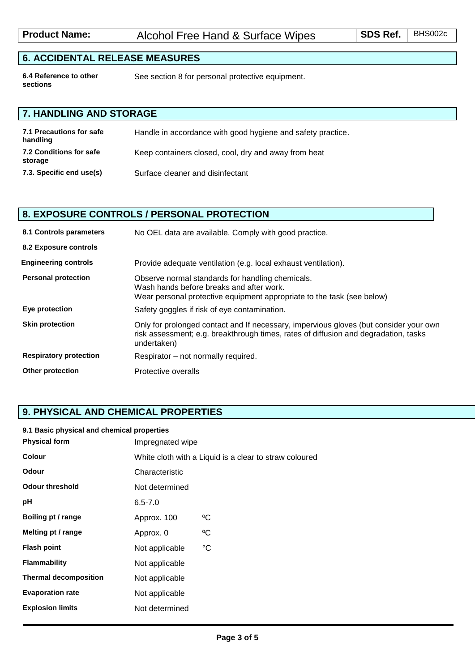# **6. ACCIDENTAL RELEASE MEASURES**

**6.4 Reference to other sections**

See section 8 for personal protective equipment.

# **7. HANDLING AND STORAGE**

| 7.1 Precautions for safe<br>handling | Handle in accordance with good hygiene and safety practice. |
|--------------------------------------|-------------------------------------------------------------|
| 7.2 Conditions for safe<br>storage   | Keep containers closed, cool, dry and away from heat        |
| 7.3. Specific end use(s)             | Surface cleaner and disinfectant                            |

# **8. EXPOSURE CONTROLS / PERSONAL PROTECTION**

| 8.1 Controls parameters       | No OEL data are available. Comply with good practice.                                                                                                                                       |
|-------------------------------|---------------------------------------------------------------------------------------------------------------------------------------------------------------------------------------------|
| 8.2 Exposure controls         |                                                                                                                                                                                             |
| <b>Engineering controls</b>   | Provide adequate ventilation (e.g. local exhaust ventilation).                                                                                                                              |
| <b>Personal protection</b>    | Observe normal standards for handling chemicals.<br>Wash hands before breaks and after work.<br>Wear personal protective equipment appropriate to the task (see below)                      |
| Eye protection                | Safety goggles if risk of eye contamination.                                                                                                                                                |
| <b>Skin protection</b>        | Only for prolonged contact and If necessary, impervious gloves (but consider your own<br>risk assessment; e.g. breakthrough times, rates of diffusion and degradation, tasks<br>undertaken) |
| <b>Respiratory protection</b> | Respirator – not normally required.                                                                                                                                                         |
| <b>Other protection</b>       | Protective overalls                                                                                                                                                                         |

# **9. PHYSICAL AND CHEMICAL PROPERTIES**

#### **9.1 Basic physical and chemical properties**

| Impregnated wipe                                       |             |  |
|--------------------------------------------------------|-------------|--|
| White cloth with a Liquid is a clear to straw coloured |             |  |
| Characteristic                                         |             |  |
| Not determined                                         |             |  |
| $6.5 - 7.0$                                            |             |  |
| Approx. 100                                            | °C          |  |
| Approx. 0                                              | $\rm ^{o}C$ |  |
| Not applicable                                         | $^{\circ}C$ |  |
| Not applicable                                         |             |  |
| Not applicable                                         |             |  |
| Not applicable                                         |             |  |
| Not determined                                         |             |  |
|                                                        |             |  |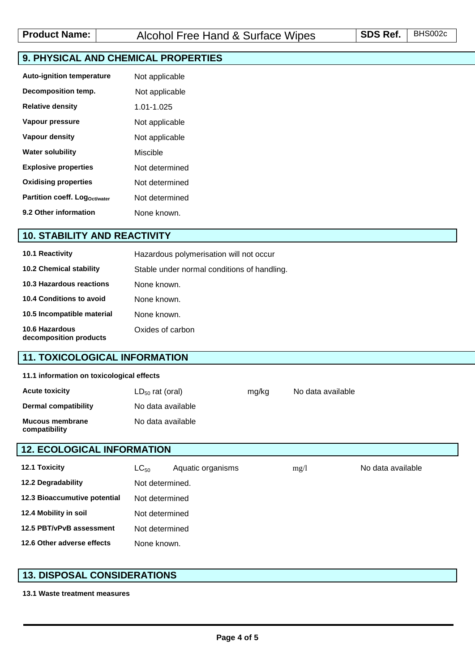# **9. PHYSICAL AND CHEMICAL PROPERTIES**

| <b>Auto-ignition temperature</b> | Not applicable |
|----------------------------------|----------------|
| Decomposition temp.              | Not applicable |
| <b>Relative density</b>          | 1 01-1 025     |
| Vapour pressure                  | Not applicable |
| Vapour density                   | Not applicable |
| <b>Water solubility</b>          | Miscible       |
| <b>Explosive properties</b>      | Not determined |
| <b>Oxidising properties</b>      | Not determined |
| Partition coeff. Logoct/water    | Not determined |
| 9.2 Other information            | None known.    |

## **10. STABILITY AND REACTIVITY**

| <b>10.1 Reactivity</b>                          | Hazardous polymerisation will not occur     |
|-------------------------------------------------|---------------------------------------------|
| <b>10.2 Chemical stability</b>                  | Stable under normal conditions of handling. |
| 10.3 Hazardous reactions                        | None known.                                 |
| 10.4 Conditions to avoid                        | None known.                                 |
| 10.5 Incompatible material                      | None known.                                 |
| <b>10.6 Hazardous</b><br>decomposition products | Oxides of carbon                            |

### **11. TOXICOLOGICAL INFORMATION**

#### **11.1 information on toxicological effects**

| <b>Acute toxicity</b>                   | $LD_{50}$ rat (oral) | mg/kg | No data available |
|-----------------------------------------|----------------------|-------|-------------------|
| Dermal compatibility                    | No data available    |       |                   |
| <b>Mucous membrane</b><br>compatibility | No data available    |       |                   |

## **12. ECOLOGICAL INFORMATION**

| <b>12.1 Toxicity</b>         | $LC_{50}$       | Aquatic organisms | mg/l | No data available |  |
|------------------------------|-----------------|-------------------|------|-------------------|--|
| 12.2 Degradability           | Not determined. |                   |      |                   |  |
| 12.3 Bioaccumutive potential |                 | Not determined    |      |                   |  |
| 12.4 Mobility in soil        | Not determined  |                   |      |                   |  |
| 12.5 PBT/vPvB assessment     | Not determined  |                   |      |                   |  |
| 12.6 Other adverse effects   | None known.     |                   |      |                   |  |

## **13. DISPOSAL CONSIDERATIONS**

### **13.1 Waste treatment measures**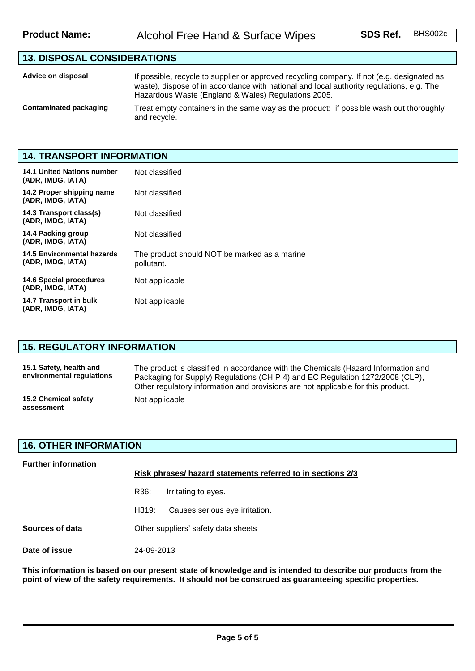| <b>Product Name:</b> | Alcohol Free Hand & Surface Wipes | <b>SDS Ref.</b> BHS002c |  |
|----------------------|-----------------------------------|-------------------------|--|
|----------------------|-----------------------------------|-------------------------|--|

# **13. DISPOSAL CONSIDERATIONS**

| Advice on disposal     | If possible, recycle to supplier or approved recycling company. If not (e.g. designated as<br>waste), dispose of in accordance with national and local authority regulations, e.g. The<br>Hazardous Waste (England & Wales) Regulations 2005. |
|------------------------|-----------------------------------------------------------------------------------------------------------------------------------------------------------------------------------------------------------------------------------------------|
| Contaminated packaging | Treat empty containers in the same way as the product: if possible wash out thoroughly<br>and recycle.                                                                                                                                        |

## **14. TRANSPORT INFORMATION**

| <b>14.1 United Nations number</b><br>(ADR, IMDG, IATA) | Not classified                                             |
|--------------------------------------------------------|------------------------------------------------------------|
| 14.2 Proper shipping name<br>(ADR, IMDG, IATA)         | Not classified                                             |
| 14.3 Transport class(s)<br>(ADR, IMDG, IATA)           | Not classified                                             |
| 14.4 Packing group<br>(ADR, IMDG, IATA)                | Not classified                                             |
| 14.5 Environmental hazards<br>(ADR, IMDG, IATA)        | The product should NOT be marked as a marine<br>pollutant. |
| 14.6 Special procedures<br>(ADR, IMDG, IATA)           | Not applicable                                             |
| 14.7 Transport in bulk<br>(ADR, IMDG, IATA)            | Not applicable                                             |

## **15. REGULATORY INFORMATION**

| 15.1 Safety, health and<br>environmental regulations | The product is classified in accordance with the Chemicals (Hazard Information and<br>Packaging for Supply) Regulations (CHIP 4) and EC Regulation 1272/2008 (CLP),<br>Other regulatory information and provisions are not applicable for this product. |
|------------------------------------------------------|---------------------------------------------------------------------------------------------------------------------------------------------------------------------------------------------------------------------------------------------------------|
| 15.2 Chemical safety<br>assessment                   | Not applicable                                                                                                                                                                                                                                          |

### **16. OTHER INFORMATION**

| <b>Further information</b> | Risk phrases/ hazard statements referred to in sections 2/3 |                                |  |  |
|----------------------------|-------------------------------------------------------------|--------------------------------|--|--|
|                            | R36:                                                        | Irritating to eyes.            |  |  |
|                            | H319:                                                       | Causes serious eye irritation. |  |  |
| Sources of data            | Other suppliers' safety data sheets                         |                                |  |  |
| Date of issue              | 24-09-2013                                                  |                                |  |  |

**This information is based on our present state of knowledge and is intended to describe our products from the point of view of the safety requirements. It should not be construed as guaranteeing specific properties.**